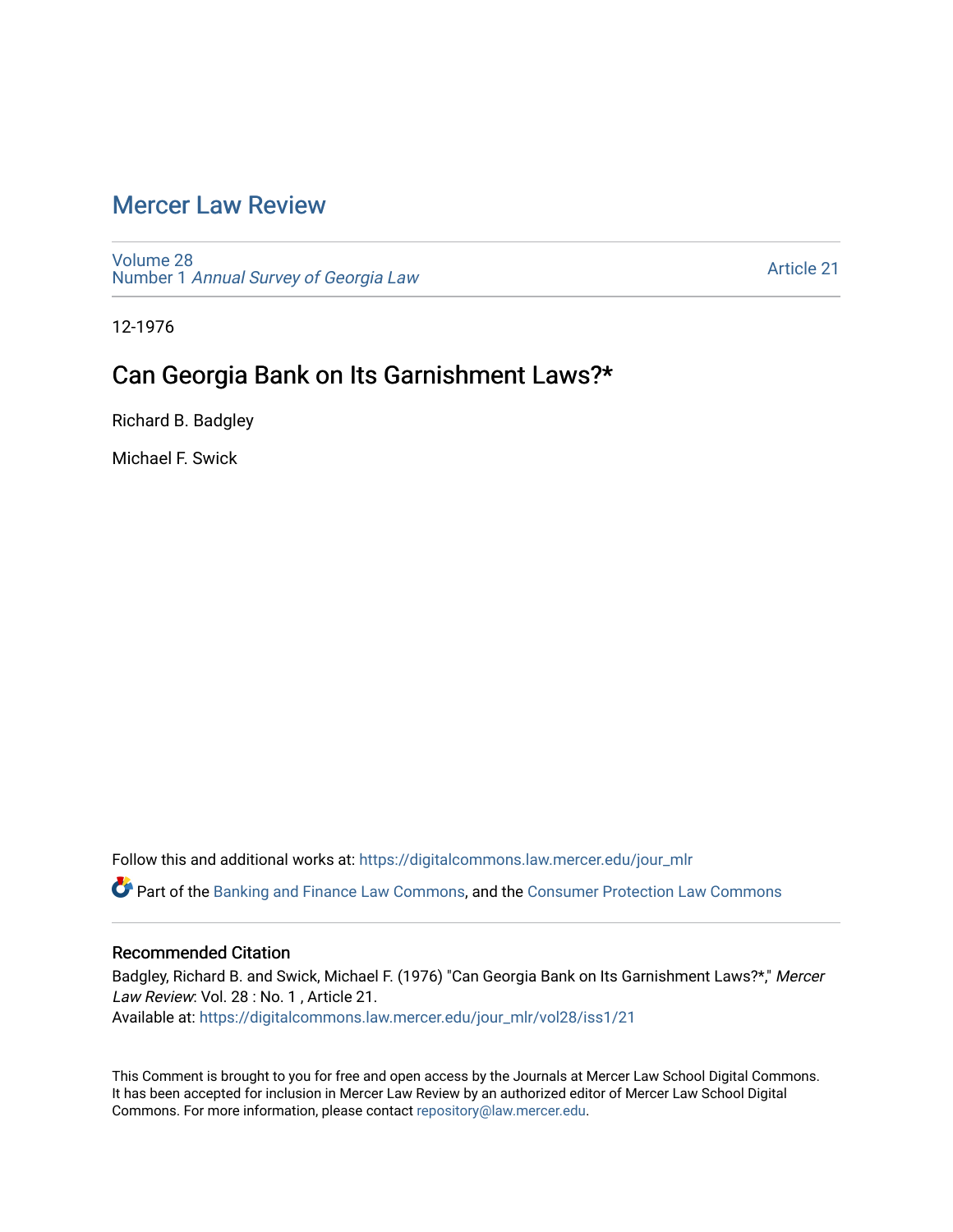# [Mercer Law Review](https://digitalcommons.law.mercer.edu/jour_mlr)

[Volume 28](https://digitalcommons.law.mercer.edu/jour_mlr/vol28) Number 1 [Annual Survey of Georgia Law](https://digitalcommons.law.mercer.edu/jour_mlr/vol28/iss1) 

[Article 21](https://digitalcommons.law.mercer.edu/jour_mlr/vol28/iss1/21) 

12-1976

# Can Georgia Bank on Its Garnishment Laws?\*

Richard B. Badgley

Michael F. Swick

Follow this and additional works at: [https://digitalcommons.law.mercer.edu/jour\\_mlr](https://digitalcommons.law.mercer.edu/jour_mlr?utm_source=digitalcommons.law.mercer.edu%2Fjour_mlr%2Fvol28%2Fiss1%2F21&utm_medium=PDF&utm_campaign=PDFCoverPages)

Part of the [Banking and Finance Law Commons,](http://network.bepress.com/hgg/discipline/833?utm_source=digitalcommons.law.mercer.edu%2Fjour_mlr%2Fvol28%2Fiss1%2F21&utm_medium=PDF&utm_campaign=PDFCoverPages) and the [Consumer Protection Law Commons](http://network.bepress.com/hgg/discipline/838?utm_source=digitalcommons.law.mercer.edu%2Fjour_mlr%2Fvol28%2Fiss1%2F21&utm_medium=PDF&utm_campaign=PDFCoverPages) 

#### Recommended Citation

Badgley, Richard B. and Swick, Michael F. (1976) "Can Georgia Bank on Its Garnishment Laws?\*," Mercer Law Review: Vol. 28 : No. 1, Article 21. Available at: [https://digitalcommons.law.mercer.edu/jour\\_mlr/vol28/iss1/21](https://digitalcommons.law.mercer.edu/jour_mlr/vol28/iss1/21?utm_source=digitalcommons.law.mercer.edu%2Fjour_mlr%2Fvol28%2Fiss1%2F21&utm_medium=PDF&utm_campaign=PDFCoverPages) 

This Comment is brought to you for free and open access by the Journals at Mercer Law School Digital Commons. It has been accepted for inclusion in Mercer Law Review by an authorized editor of Mercer Law School Digital Commons. For more information, please contact [repository@law.mercer.edu.](mailto:repository@law.mercer.edu)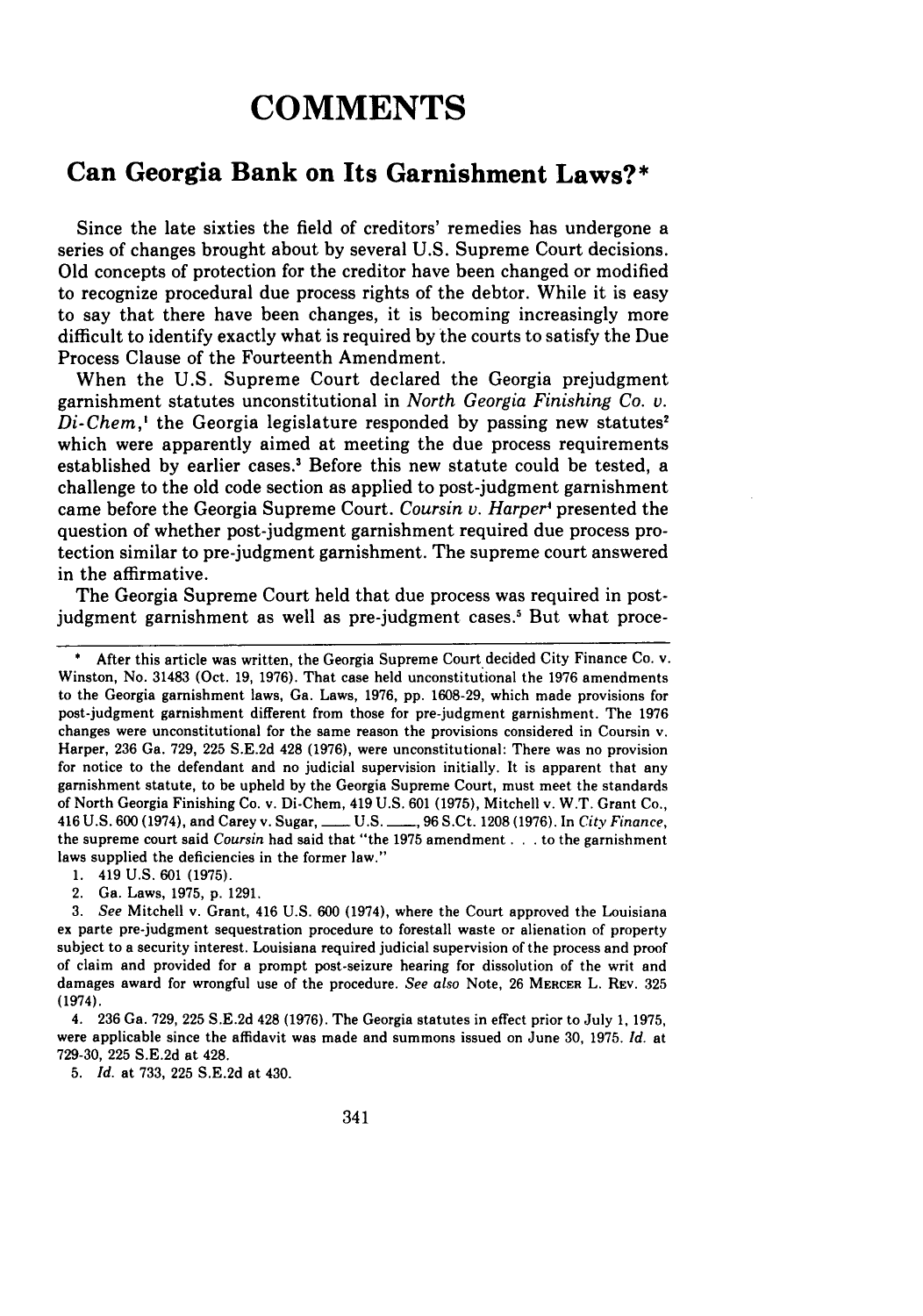# **COMMENTS**

### **Can Georgia Bank on Its Garnishment Laws?\***

Since the late sixties the field of creditors' remedies has undergone a series of changes brought about by several U.S. Supreme Court decisions. Old concepts of protection for the creditor have been changed or modified to recognize procedural due process rights of the debtor. While it is easy to say that there have been changes, it is becoming increasingly more difficult to identify exactly what is required by the courts to satisfy the Due Process Clause of the Fourteenth Amendment.

When the U.S. Supreme Court declared the Georgia prejudgment garnishment statutes unconstitutional in *North Georgia Finishing Co. v. Di-Chem*,<sup>*'*</sup> the Georgia legislature responded by passing new statutes<sup>2</sup> which were apparently aimed at meeting the due process requirements established by earlier cases.' Before this new statute could be tested, a challenge to the old code section as applied to post-judgment garnishment came before the Georgia Supreme Court. *Coursin v. Harper*<sup>4</sup> presented the question of whether post-judgment garnishment required due process protection similar to pre-judgment garnishment. The supreme court answered in the affirmative.

The Georgia Supreme Court held that due process was required in postjudgment garnishment as well as pre-judgment cases.<sup>5</sup> But what proce-

**1.** 419 **U.S. 601 (1975).**

2. Ga. Laws, **1975, p. 1291.**

**5.** *Id.* **at 733, 225 S.E.2d** at 430.

After this article was written, the Georgia Supreme Court decided City Finance Co. v. Winston, No. **31483** (Oct. **19, 1976).** That case held unconstitutional the **1976** amendments to the Georgia garnishment laws, Ga. Laws, **1976, pp. 1608-29,** which made provisions for post-judgment garnishment different from those for pre-judgment garnishment. The **1976** changes were unconstitutional for the same reason the provisions considered in Coursin v. Harper, **236** Ga. **729, 225 S.E.2d** 428 **(1976),** were unconstitutional: There was no provision for notice to the defendant and no judicial supervision initially. It is apparent that any garnishment statute, to be upheld **by** the Georgia Supreme Court, must meet the standards of North Georgia Finishing Co. v. Di-Chem, 419 **U.S. 601 (1975),** Mitchell v. W.T. Grant Co., 416 **U.S. 600** (1974), and Carey v. Sugar, **- U.S. -, 96** S.Ct. **1208 (1976).** In *City Finance,* the supreme court said *Coursin* had said that "the **1975** amendment **...** to the garnishment laws supplied the deficiencies in the former law."

*<sup>3.</sup> See* Mitchell v. Grant, 416 **U.S. 600** (1974), where the Court approved the Louisiana ex parte pre-judgment sequestration procedure to forestall waste or alienation of property subject to a security interest. Louisiana required judicial supervision of the process and proof of claim and provided for a prompt post-seizure hearing for dissolution of the writ and damages award for wrongful use of the procedure. *See also* Note, **26** MERcER L. REv. **325** (1974).

<sup>4.</sup> **236** Ga. **729, 225 S.E.2d** 428 **(1976).** The Georgia statutes in effect prior to July **1, 1975,** were applicable since the affidavit was made and summons issued on June **30, 1975.** *Id.* **at 729-30, 225 S.E.2d** at 428.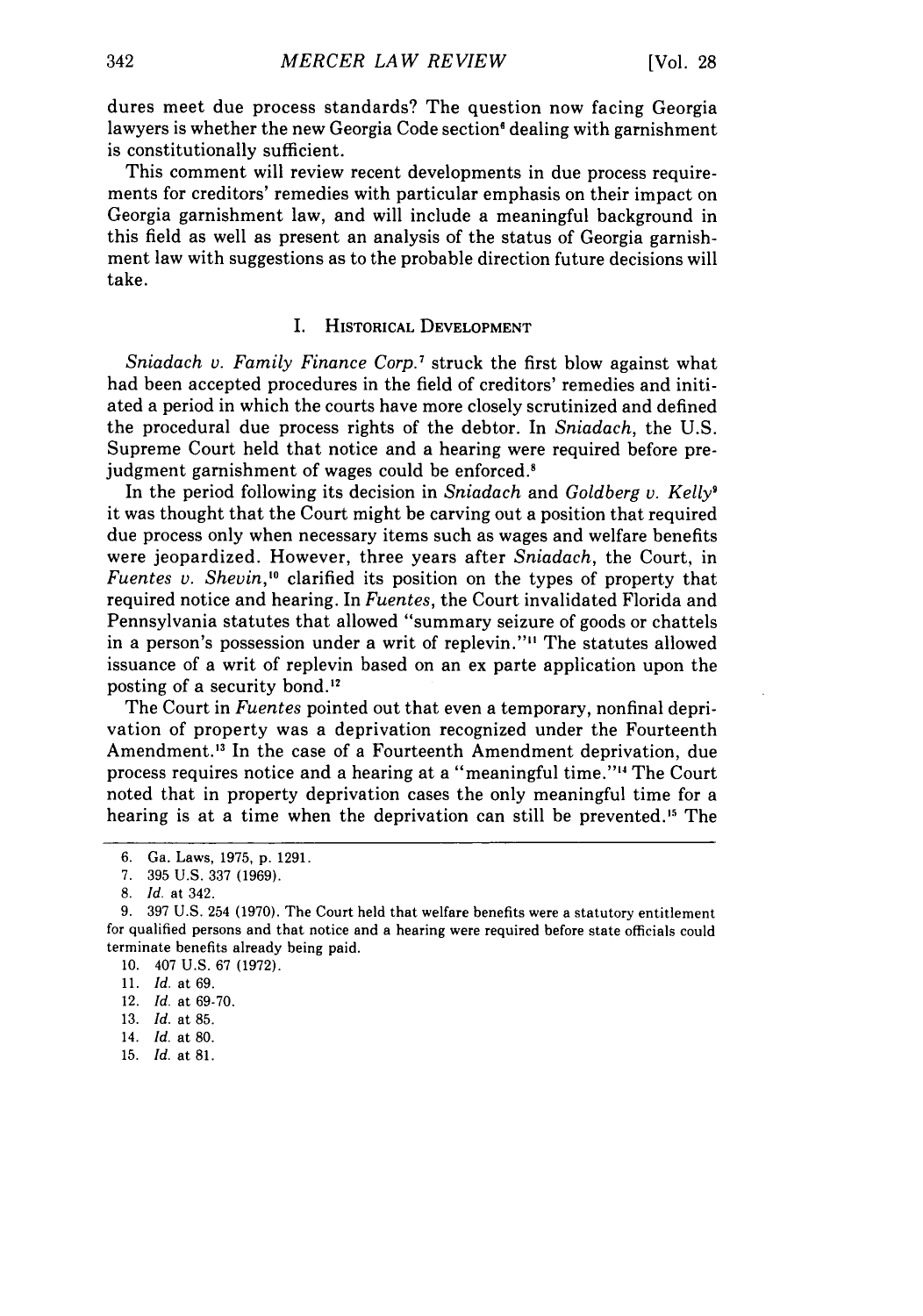dures meet due process standards? The question now facing Georgia lawyers is whether the new Georgia Code section<sup>6</sup> dealing with garnishment is constitutionally sufficient.

This comment will review recent developments in due process requirements for creditors' remedies with particular emphasis on their impact on Georgia garnishment law, and will include a meaningful background in this field as well as present an analysis of the status of Georgia garnishment law with suggestions as to the probable direction future decisions will take.

#### I. HISTORICAL **DEVELOPMENT**

*Sniadach v. Family Finance Corp.7* struck the first blow against what had been accepted procedures in the field of creditors' remedies and initiated a period in which the courts have more closely scrutinized and defined the procedural due process rights of the debtor. In *Sniadach,* the U.S. Supreme Court held that notice and a hearing were required before prejudgment garnishment of wages could be enforced.<sup>8</sup>

In the period following its decision in *Sniadach* and *Goldberg v. Kelly9* it was thought that the Court might be carving out a position that required due process only when necessary items such as wages and welfare benefits were jeopardized. However, three years after *Sniadach,* the Court, in *Fuentes v. Shevin,10* clarified its position on the types of property that required notice and hearing. In *Fuentes,* the Court invalidated Florida and Pennsylvania statutes that allowed "summary seizure of goods or chattels in a person's possession under a writ of replevin."" The statutes allowed issuance of a writ of replevin based on an ex parte application upon the posting of a security bond."

The Court in *Fuentes* pointed out that even a temporary, nonfinal deprivation of property was a deprivation recognized under the Fourteenth Amendment.<sup>13</sup> In the case of a Fourteenth Amendment deprivation, due process requires notice and a hearing at a "meaningful time."'" The Court noted that in property deprivation cases the only meaningful time for a hearing is at a time when the deprivation can still be prevented.<sup>15</sup> The

15. *Id.* at 81.

<sup>6.</sup> Ga. Laws, 1975, p. 1291.

<sup>7. 395</sup> U.S. 337 (1969).

*<sup>8.</sup> Id.* at 342.

<sup>9. 397</sup> U.S. 254 (1970). The Court held that welfare benefits were a statutory entitlement for qualified persons and that notice and a hearing were required before state officials could terminate benefits already being paid.

<sup>10. 407</sup> U.S. 67 (1972).

<sup>11.</sup> *Id.* at 69.

<sup>12.</sup> *Id.* at 69-70.

<sup>13.</sup> *Id.* at 85.

<sup>14.</sup> *Id.* at 80.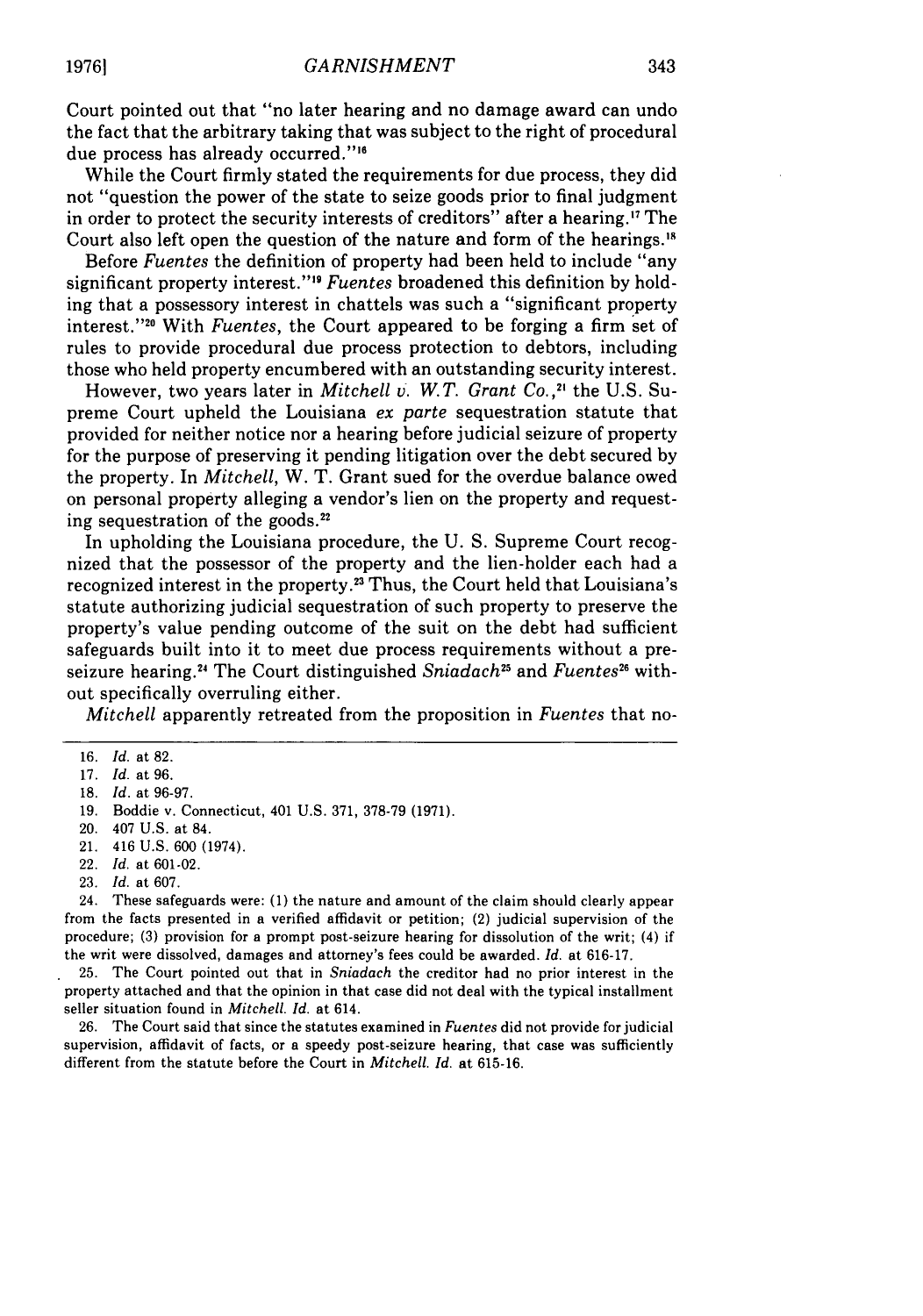Court pointed out that "no later hearing and no damage award can undo the fact that the arbitrary taking that was subject to the right of procedural due process has already occurred."<sup>16</sup>

While the Court firmly stated the requirements for due process, they did not "question the power of the state to seize goods prior to final judgment in order to protect the security interests of creditors" after a hearing.'7 The Court also left open the question of the nature and form of the hearings.<sup>18</sup>

Before *Fuentes* the definition of property had been held to include "any significant property interest."<sup>19</sup> Fuentes broadened this definition by holding that a possessory interest in chattels was such a "significant property interest."<sup>20</sup> With *Fuentes*, the Court appeared to be forging a firm set of rules to provide procedural due process protection to debtors, including those who held property encumbered with an outstanding security interest.

However, two years later in *Mitchell v. W.T. Grant Co.,"* the U.S. Supreme Court upheld the Louisiana *ex parte* sequestration statute that provided for neither notice nor a hearing before judicial seizure of property for the purpose of preserving it pending litigation over the debt secured by the property. In *Mitchell,* W. T. Grant sued for the overdue balance owed on personal property alleging a vendor's lien on the property and requesting sequestration of the goods.<sup>22</sup>

In upholding the Louisiana procedure, the U. S. Supreme Court recognized that the possessor of the property and the lien-holder each had a recognized interest in the property.22 Thus, the Court held that Louisiana's statute authorizing judicial sequestration of such property to preserve the property's value pending outcome of the suit on the debt had sufficient safeguards built into it to meet due process requirements without a preseizure hearing.<sup>24</sup> The Court distinguished *Sniadach<sup>25</sup>* and *Fuentes*<sup>26</sup> without specifically overruling either.

*Mitchell* apparently retreated from the proposition in *Fuentes* that no-

23. *Id.* at 607.

24. These safeguards were: (1) the nature and amount of the claim should clearly appear from the facts presented in a verified affidavit or petition; (2) judicial supervision of the procedure; (3) provision for a prompt post-seizure hearing for dissolution of the writ; (4) if the writ were dissolved, damages and attorney's fees could be awarded. *Id.* at 616-17.

25. The Court pointed out that in *Sniadach* the creditor had no prior interest in the property attached and that the opinion in that case did not deal with the typical installment seller situation found in *Mitchell. Id.* at 614.

26. The Court said that since the statutes examined in *Fuentes* did not provide for judicial supervision, affidavit of facts, or a speedy post-seizure hearing, that case was sufficiently different from the statute before the Court in *Mitchell. Id.* at 615-16.

<sup>16.</sup> *Id.* at 82.

<sup>17.</sup> *Id.* at 96.

<sup>18.</sup> *Id.* at 96-97.

<sup>19.</sup> Boddie v. Connecticut, 401 U.S. 371, 378-79 (1971).

<sup>20. 407</sup> U.S. at 84.

<sup>21. 416</sup> U.S. 600 (1974).

<sup>22.</sup> *Id.* at 601-02.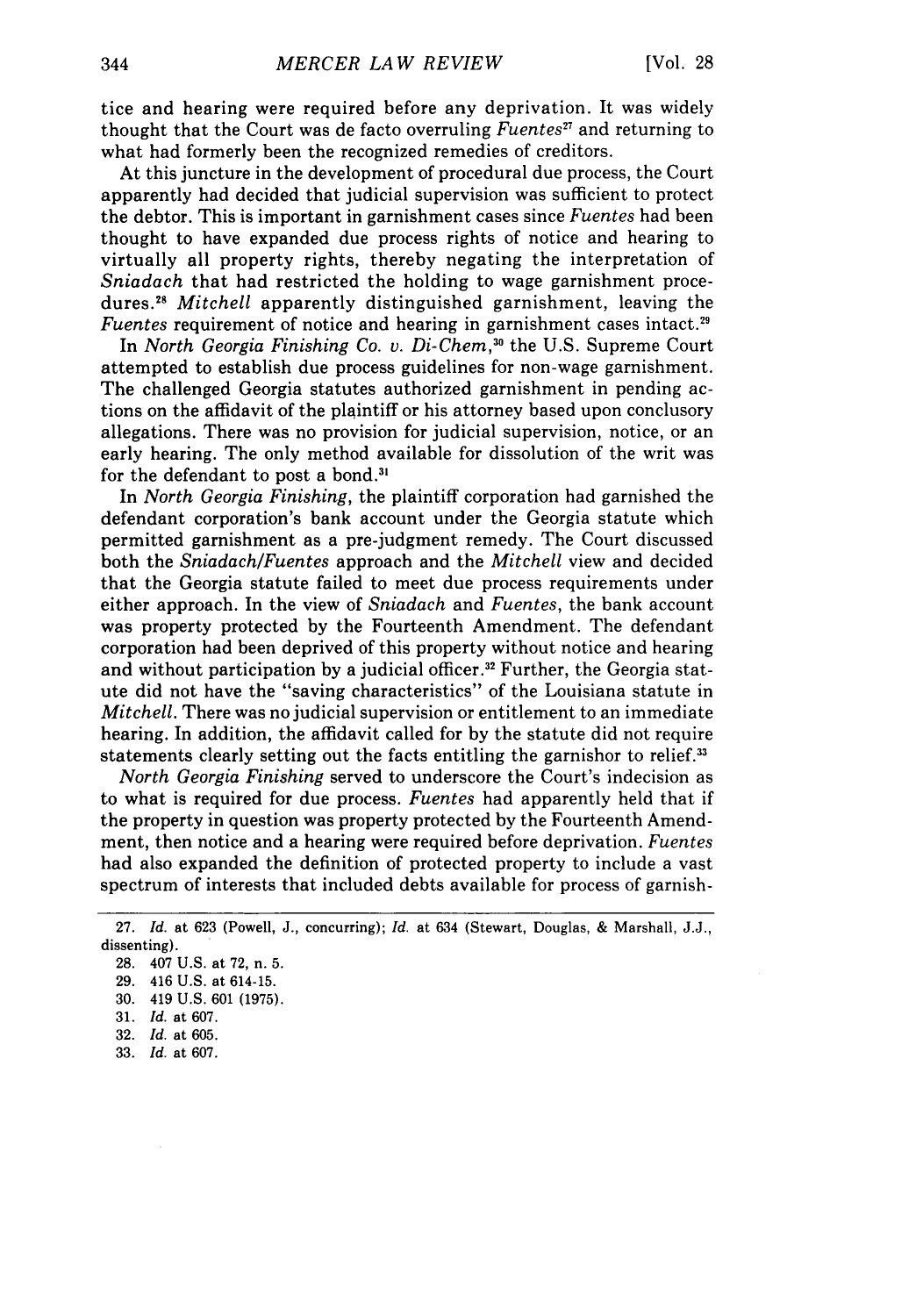tice and hearing were required before any deprivation. It was widely thought that the Court was de facto overruling *Fuentes"* and returning to what had formerly been the recognized remedies of creditors.

At this juncture in the development of procedural due process, the Court apparently had decided that judicial supervision was sufficient to protect the debtor. This is important in garnishment cases since *Fuentes* had been thought to have expanded due process rights of notice and hearing to virtually all property rights, thereby negating the interpretation of *Sniadach* that had restricted the holding to wage garnishment procedures. <sup>8</sup>*Mitchell* apparently distinguished garnishment, leaving the *Fuentes* requirement of notice and hearing in garnishment cases intact.<sup>29</sup>

In *North Georgia Finishing Co. v. Di-Chem*,<sup>30</sup> the U.S. Supreme Court attempted to establish due process guidelines for non-wage garnishment. The challenged Georgia statutes authorized garnishment in pending actions on the affidavit of the plaintiff or his attorney based upon conclusory allegations. There was no provision for judicial supervision, notice, or an early hearing. The only method available for dissolution of the writ was for the defendant to post a bond **. 3**

In *North Georgia Finishing,* the plaintiff corporation had garnished the defendant corporation's bank account under the Georgia statute which permitted garnishment as a pre-judgment remedy. The Court discussed both the *Sniadach/Fuentes* approach and the *Mitchell* view and decided that the Georgia statute failed to meet due process requirements under either approach. In the view of *Sniadach* and *Fuentes,* the bank account was property protected by the Fourteenth Amendment. The defendant corporation had been deprived of this property without notice and hearing and without participation by a judicial officer.<sup>32</sup> Further, the Georgia statute did not have the "saving characteristics" of the Louisiana statute in *Mitchell.* There was no judicial supervision or entitlement to an immediate hearing. In addition, the affidavit called for by the statute did not require statements clearly setting out the facts entitling the garnishor to relief. <sup>33</sup>

*North Georgia Finishing* served to underscore the Court's indecision as to what is required for due process. *Fuentes* had apparently held that if the property in question was property protected by the Fourteenth Amendment, then notice and a hearing were required before deprivation. *Fuentes* had also expanded the definition of protected property to include a vast spectrum of interests that included debts available for process of garnish-

33. *Id.* at 607.

<sup>27.</sup> *Id.* at 623 (Powell, J., concurring); *Id.* at 634 (Stewart, Douglas, & Marshall, J.J., dissenting).

<sup>28. 407</sup> U.S. at 72, n. 5.

<sup>29. 416</sup> U.S. at 614-15.

<sup>30. 419</sup> U.S. 601 (1975).

<sup>31.</sup> *Id.* at 607.

<sup>32.</sup> *Id.* at 605.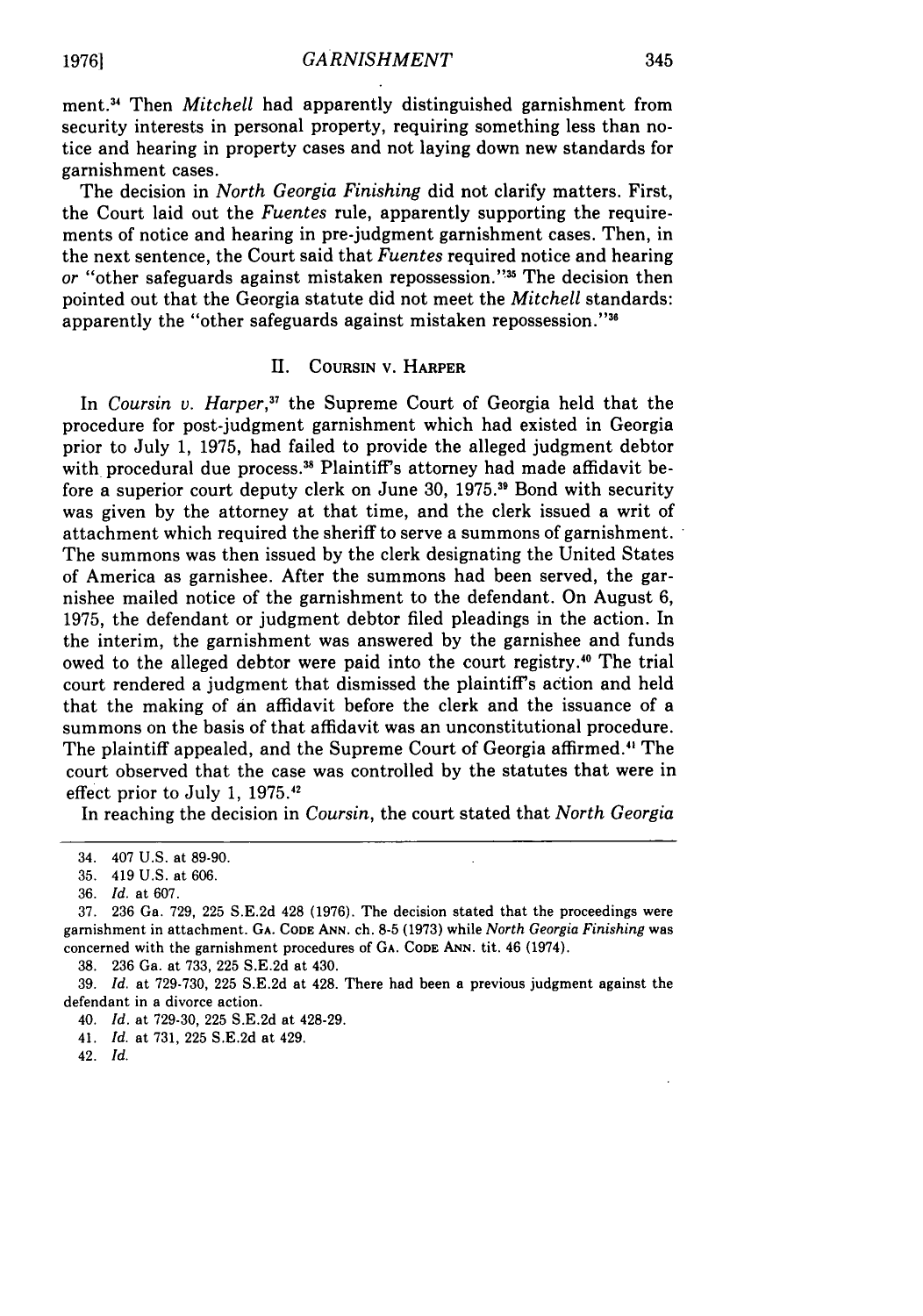ment.34 Then *Mitchell* had apparently distinguished garnishment from security interests in personal property, requiring something less than notice and hearing in property cases and not laying down new standards for garnishment cases.

The decision in *North Georgia Finishing* did not clarify matters. First, the Court laid out the *Fuentes* rule, apparently supporting the requirements of notice and hearing in pre-judgment garnishment cases. Then, in the next sentence, the Court said that *Fuentes* required notice and hearing or "other safeguards against mistaken repossession."<sup>35</sup> The decision then pointed out that the Georgia statute did not meet the *Mitchell* standards: apparently the "other safeguards against mistaken repossession."<sup>3</sup>

#### **IE. COURSIN** V. HARPER

In *Coursin v. Harper,37* the Supreme Court of Georgia held that the procedure for post-judgment garnishment which had existed in Georgia prior to July 1, **1975,** had failed to provide the alleged judgment debtor with procedural due process.<sup>38</sup> Plaintiff's attorney had made affidavit before a superior court deputy clerk on June **30, 1975.11** Bond with security was given by the attorney at that time, and the clerk issued a writ of attachment which required the sheriff to serve a summons of garnishment. The summons was then issued by the clerk designating the United States of America as garnishee. After the summons had been served, the garnishee mailed notice of the garnishment to the defendant. On August 6, **1975,** the defendant or judgment debtor filed pleadings in the action. In the interim, the garnishment was answered by the garnishee and funds owed to the alleged debtor were paid into the court registry.40 The trial court rendered a judgment that dismissed the plaintiff's action and held that the making of an affidavit before the clerk and the issuance of a summons on the basis of that affidavit was an unconstitutional procedure. The plaintiff appealed, and the Supreme Court of Georgia affirmed." The court observed that the case was controlled by the statutes that were in effect prior to July 1, 1975.<sup>42</sup>

In reaching the decision in *Coursin,* the court stated that *North Georgia*

38. **236** Ga. at **733, 225** S.E.2d at 430.

**39.** *Id.* at 729-730, **225** S.E.2d at 428. There had been a previous judgment against the defendant in a divorce action.

40. *Id.* at **729-30, 225** S.E.2d at 428-29.

41. *Id.* at 731, **225** S.E.2d at 429.

42. *Id.*

<sup>34. 407</sup> U.S. at 89-90.

<sup>35. 419</sup> U.S. at 606.

<sup>36.</sup> *Id.* at 607.

<sup>37.</sup> **236** Ga. **729, 225** S.E.2d 428 (1976). The decision stated that the proceedings were garnishment in attachment. GA. **CODE ANN.** ch. **8-5** (1973) while *North Georgia Finishing* was concerned with the garnishment procedures of GA. **CODE ANN.** tit. 46 (1974).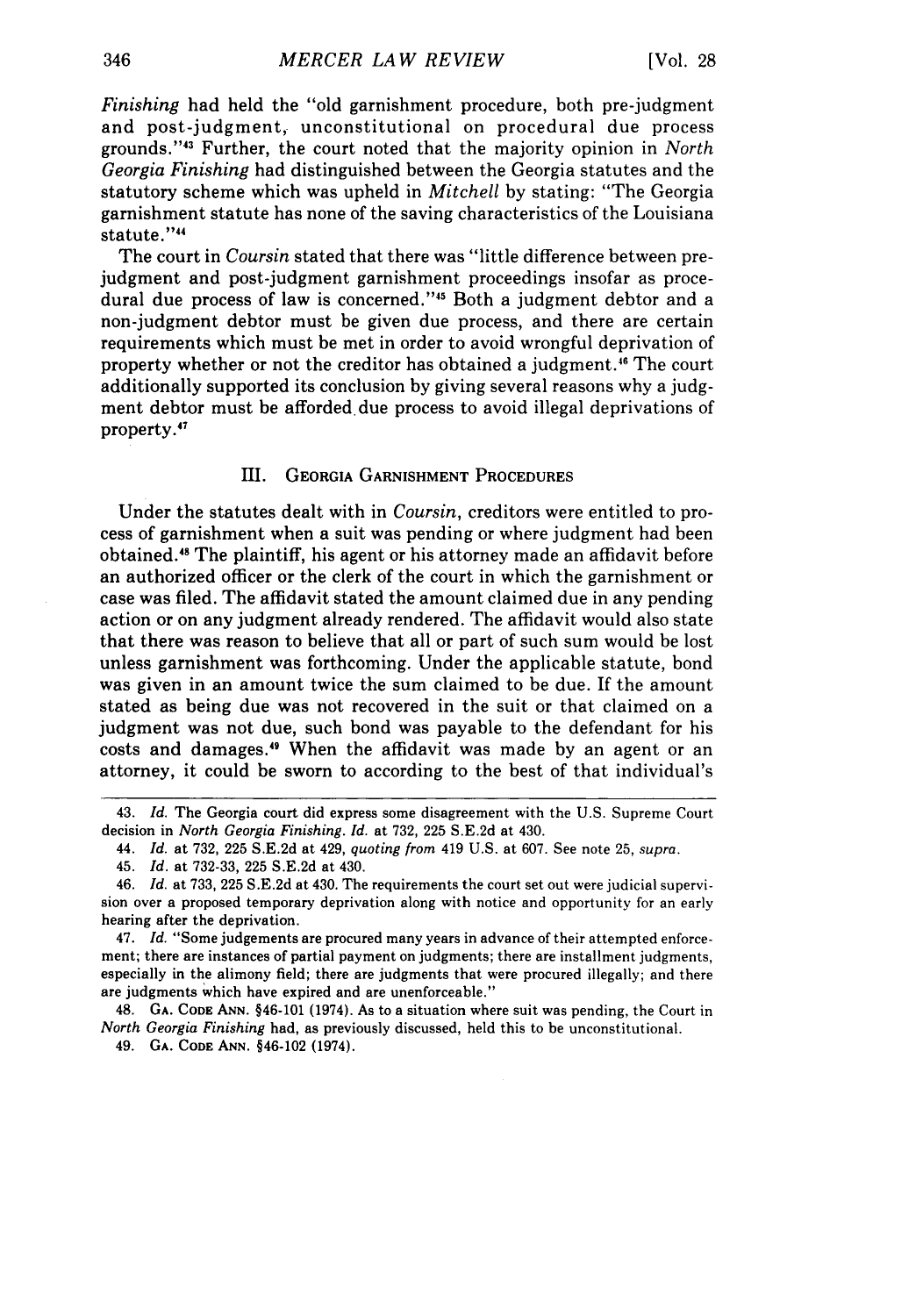*Finishing* had held the "old garnishment procedure, both pre-judgment and post-judgment, unconstitutional on procedural due process grounds."43 Further, the court noted that the majority opinion in *North Georgia Finishing* had distinguished between the Georgia statutes and the statutory scheme which was upheld in *Mitchell* by stating: "The Georgia garnishment statute has none of the saving characteristics of the Louisiana statute."<sup>44</sup>

The court in *Coursin* stated that there was "little difference between prejudgment and post-judgment garnishment proceedings insofar as procedural due process of law is concerned."<sup>45</sup> Both a judgment debtor and a non-judgment debtor must be given due process, and there are certain requirements which must be met in order to avoid wrongful deprivation of property whether or not the creditor has obtained a judgment." The court additionally supported its conclusion by giving several reasons why a judgment debtor must be afforded due process to avoid illegal deprivations of property.<sup>47</sup>

#### III. GEORGIA GARNISHMENT PROCEDURES

Under the statutes dealt with in *Coursin,* creditors were entitled to process of garnishment when a suit was pending or where judgment had been obtained." The plaintiff, his agent or his attorney made an affidavit before an authorized officer or the clerk of the court in which the garnishment or case was filed. The affidavit stated the amount claimed due in any pending action or on any judgment already rendered. The affidavit would also state that there was reason to believe that all or part of such sum would be lost unless garnishment was forthcoming. Under the applicable statute, bond was given in an amount twice the sum claimed to be due. If the amount stated as being due was not recovered in the suit or that claimed on a judgment was not due, such bond was payable to the defendant for his costs and damages.<sup>49</sup> When the affidavit was made by an agent or an attorney, it could be sworn to according to the best of that individual's

48. **GA. CODE ANN.** §46-101 (1974). As to a situation where suit was pending, the Court in *North Georgia Finishing* had, as previously discussed, held this to be unconstitutional.

49. **GA. CODE ANN.** §46-102 **(1974).**

<sup>43.</sup> *Id.* The Georgia court did express some disagreement with the U.S. Supreme Court decision in *North Georgia Finishing. Id.* at **732, 225** S.E.2d at 430.

<sup>44.</sup> *Id.* at **732, 225** S.E.2d at 429, *quoting from* 419 U.S. at 607. See note 25, *supra.*

<sup>45.</sup> *Id.* at **732-33, 225** S.E.2d at 430.

<sup>46.</sup> *Id.* at **733, 225** S.E.2d at 430. The requirements the court set out were judicial supervision over a proposed temporary deprivation along with notice and opportunity for an early hearing after the deprivation.

<sup>47.</sup> *Id.* "Some judgements are procured many years in advance of their attempted enforcement; there are instances of partial payment on judgments; there are installment judgments, especially in the alimony field; there are judgments that were procured illegally; and there are judgments which have expired and are unenforceable."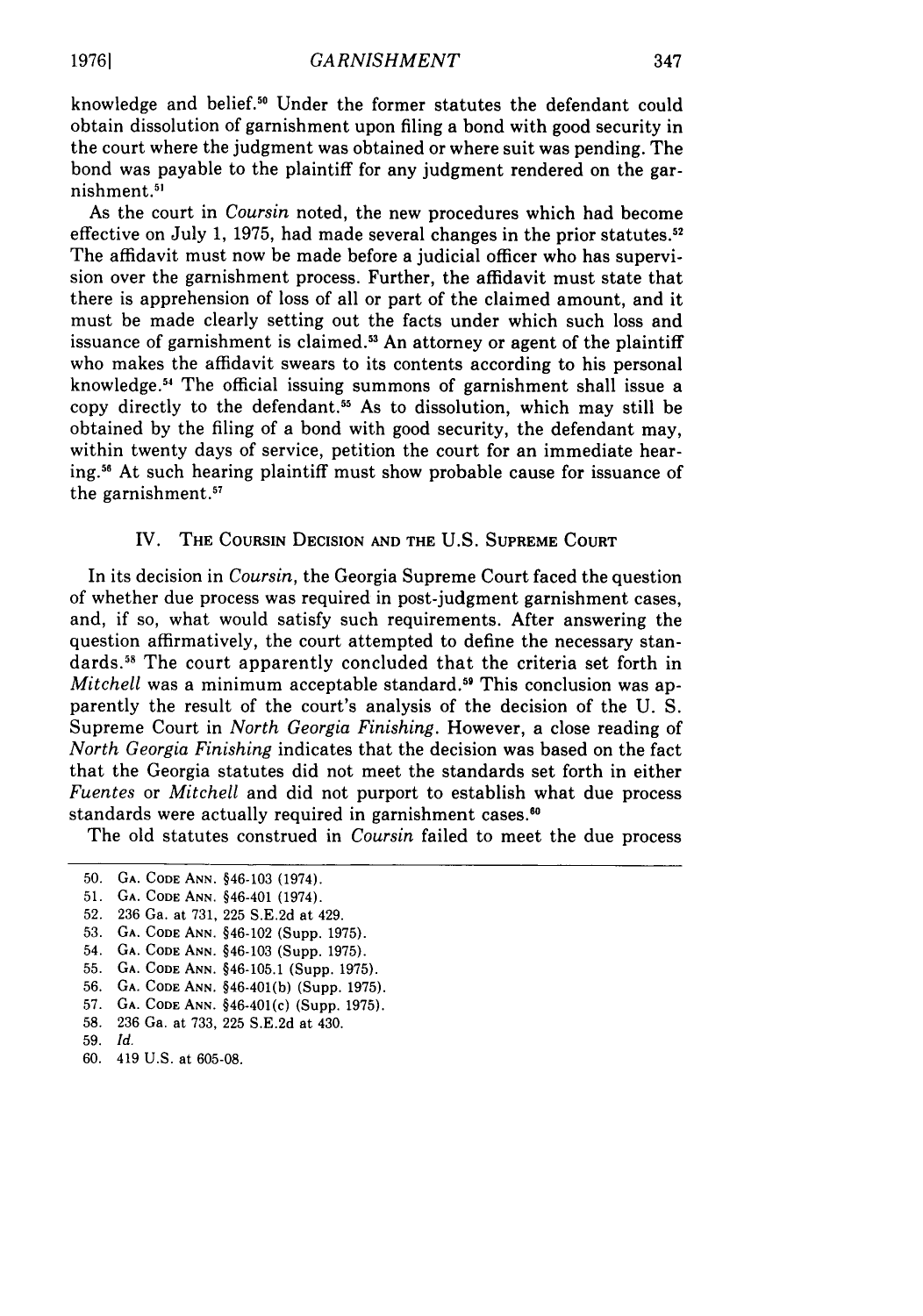knowledge and belief.<sup>50</sup> Under the former statutes the defendant could obtain dissolution of garnishment upon filing a bond with good security in the court where the judgment was obtained or where suit was pending. The bond was payable to the plaintiff for any judgment rendered on the garnishment **. 5**

As the court in *Coursin* noted, the new procedures which had become effective on July 1, 1975, had made several changes in the prior statutes.<sup>52</sup> The affidavit must now be made before a judicial officer who has supervision over the garnishment process. Further, the affidavit must state that there is apprehension of loss of all or part of the claimed amount, and it must be made clearly setting out the facts under which such loss and issuance of garnishment is claimed.<sup>53</sup> An attorney or agent of the plaintiff who makes the affidavit swears to its contents according to his personal knowledge.<sup>54</sup> The official issuing summons of garnishment shall issue a copy directly to the defendant.<sup>55</sup> As to dissolution, which may still be obtained by the filing of a bond with good security, the defendant may, within twenty days of service, petition the court for an immediate hearing." At such hearing plaintiff must show probable cause for issuance of the garnishment.<sup>57</sup>

#### IV. THE COURSIN DECISION AND THE U.S. SUPREME COURT

In its decision in *Coursin,* the Georgia Supreme Court faced the question of whether due process was required in post-judgment garnishment cases, and, if so, what would satisfy such requirements. After answering the question affirmatively, the court attempted to define the necessary standards.<sup>58</sup> The court apparently concluded that the criteria set forth in *Mitchell* was a minimum acceptable standard.<sup>59</sup> This conclusion was apparently the result of the court's analysis of the decision of the U. S. Supreme Court in *North Georgia Finishing.* However, a close reading of *North Georgia Finishing* indicates that the decision was based on the fact that the Georgia statutes did not meet the standards set forth in either *Fuentes* or *Mitchell* and did not purport to establish what due process standards were actually required in garnishment cases.<sup>60</sup>

The old statutes construed in *Coursin* failed to meet the due process

- 57. **GA. CODE ANN.** §46-401(c) (Supp. 1975).
- 58. 236 Ga. at 733, 225 S.E.2d at 430.
- 59. *Id.*

<sup>50.</sup> **GA. CODE ANN.** §46-103 (1974).

**<sup>51.</sup> GA. CODE ANN.** §46-401 (1974).

<sup>52. 236</sup> Ga. at 731, 225 S.E.2d at 429.

<sup>53.</sup> **GA. CODE** ANN. §46-102 (Supp. 1975).

<sup>54.</sup> **GA. CODE ANN.** §46-103 (Supp. 1975).

<sup>55.</sup> **GA. CODE ANN.** §46-105.1 (Supp. 1975).

<sup>56.</sup> **GA. CODE ANN.** §46-401(b) (Supp. 1975).

<sup>60. 419</sup> U.S. at 605-08.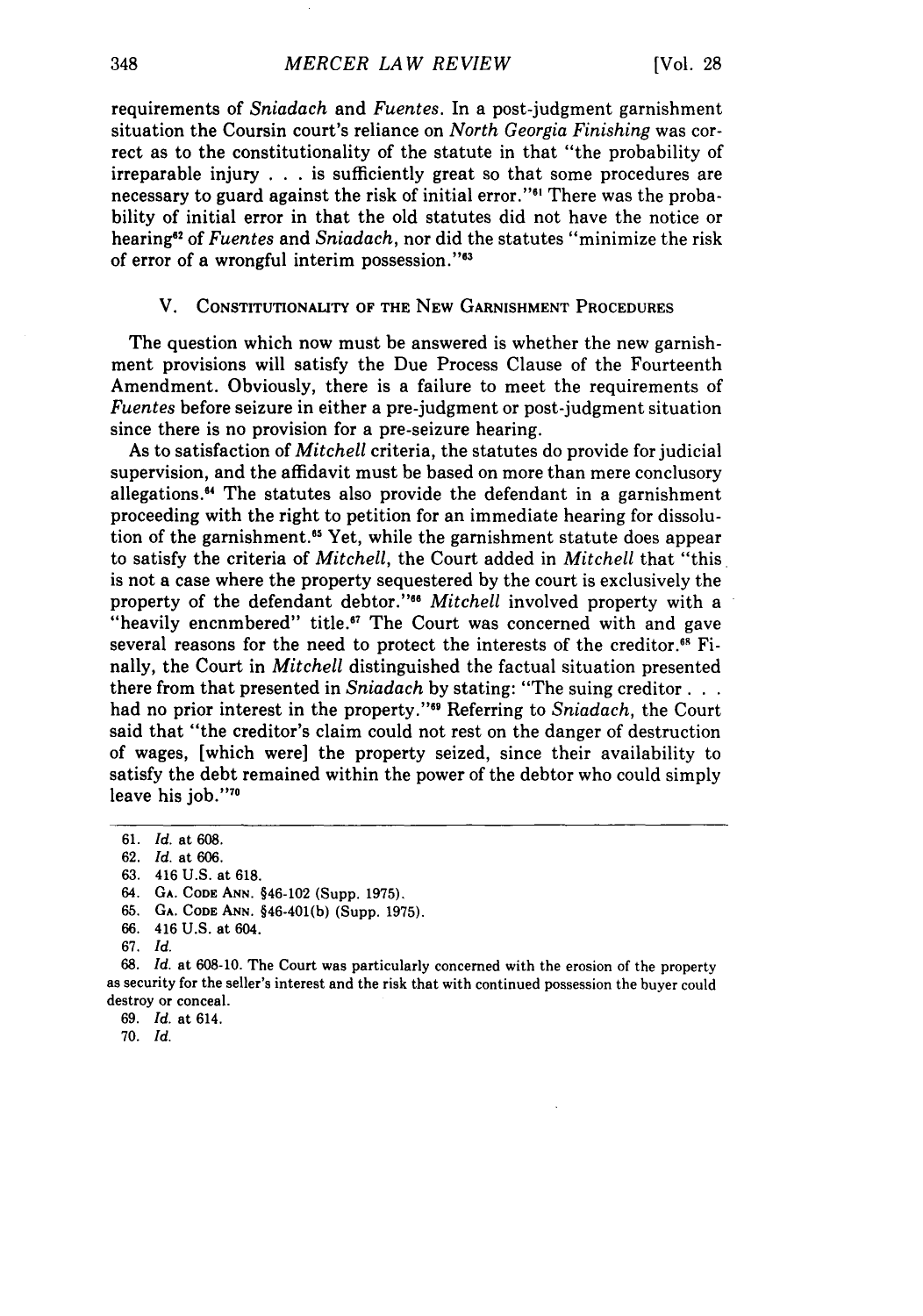requirements of *Sniadach* and *Fuentes.* In a post-judgment garnishment situation the Coursin court's reliance on *North Georgia Finishing* was correct as to the constitutionality of the statute in that "the probability of irreparable injury . . . is sufficiently great so that some procedures are necessary to guard against the risk of initial error."<sup>61</sup> There was the probability of initial error in that the old statutes did not have the notice or hearing"2 of *Fuentes* and *Sniadach,* nor did the statutes "minimize the risk of error of a wrongful interim possession."<sup>63</sup>

#### V. CONSTITUTIONALITY OF THE NEW GARNISHMENT PROCEDURES

The question which now must be answered is whether the new garnishment provisions will satisfy the Due Process Clause of the Fourteenth Amendment. Obviously, there is a failure to meet the requirements of *Fuentes* before seizure in either a pre-judgment or post-judgment situation since there is no provision for a pre-seizure hearing.

As to satisfaction of *Mitchell* criteria, the statutes do provide for judicial supervision, and the affidavit must be based on more than mere conclusory allegations." The statutes also provide the defendant in a garnishment proceeding with the right to petition for an immediate hearing for dissolution of the garnishment.<sup>55</sup> Yet, while the garnishment statute does appear to satisfy the criteria of *Mitchell,* the Court added in *Mitchell* that "this is not a case where the property sequestered **by** the court is exclusively the property of the defendant debtor."'6 *Mitchell* involved property with a "heavily encnmbered" title.<sup>67</sup> The Court was concerned with and gave several reasons for the need to protect the interests of the creditor.<sup>68</sup> Finally, the Court in *Mitchell* distinguished the factual situation presented there from that presented in *Sniadach* **by** stating: "The suing creditor... had no prior interest in the property."6 Referring to *Sniadach,* the Court said that "the creditor's claim could not rest on the danger of destruction of wages, [which were] the property seized, since their availability to satisfy the debt remained within the power of the debtor who could simply leave his job."70

<sup>61.</sup> *Id.* at 608.

**<sup>62.</sup>** *Id.* at **606.**

<sup>63. 416</sup> U.S. at 618.

**<sup>64.</sup> GA. CODE: ANN.** §46-102 (Supp. 1975).

**<sup>65.</sup> GA. CODE ANN. §46-401(b)** (Supp. **1975).**

**<sup>66.</sup>** 416 **U.S. at 604.**

**<sup>67.</sup>** *Id.*

**<sup>68.</sup>** *Id.* at **608-10.** The Court was particularly concerned with the erosion of the property as security for the seller's interest and the risk that with continued possession the buyer could destroy or conceal.

**<sup>69.</sup>** *Id.* at 614.

<sup>70.</sup> *Id.*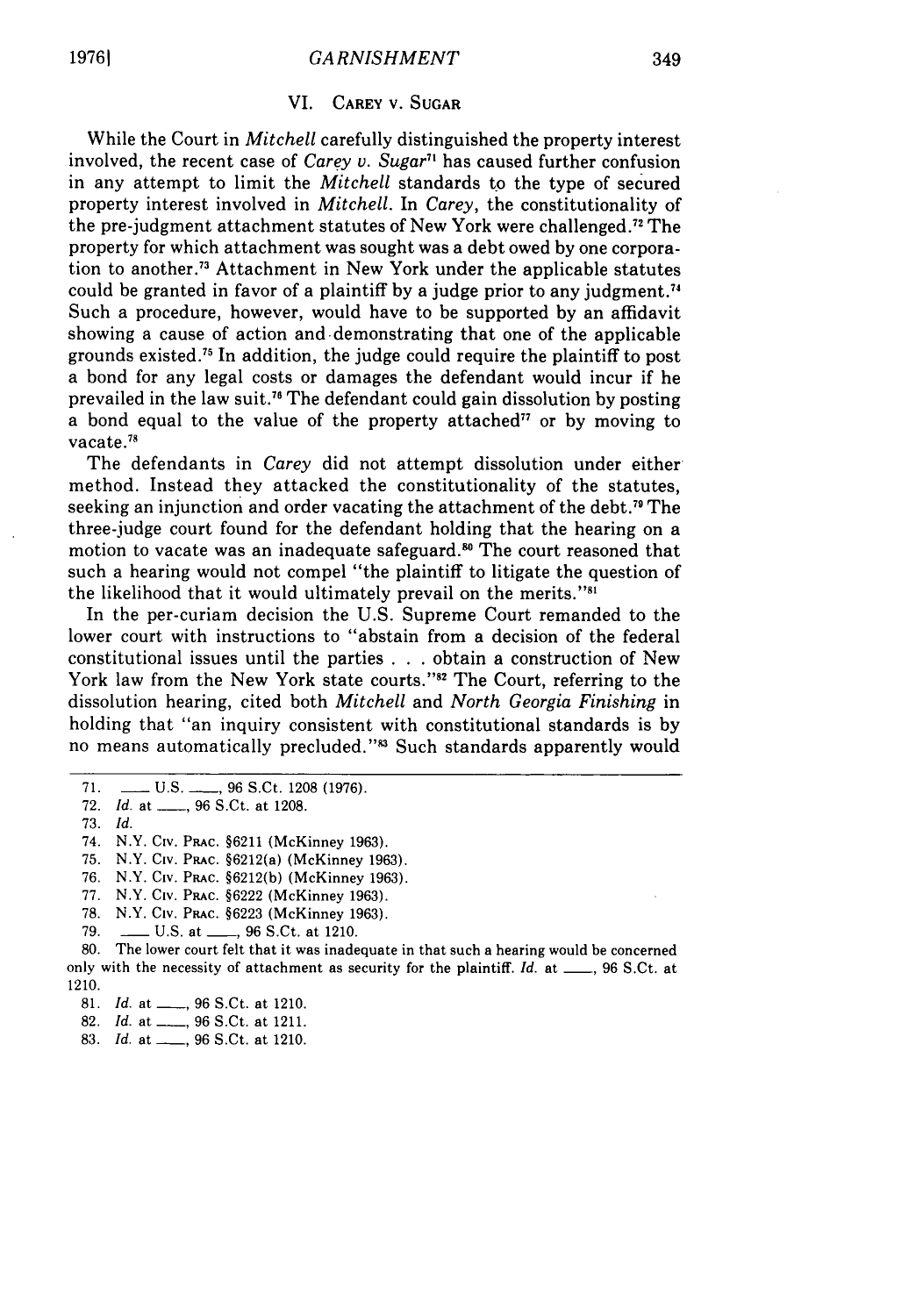#### VI. CAREY V. SUGAR

While the Court in *Mitchell* carefully distinguished the property interest involved, the recent case of *Carey v. Sugar7'* has caused further confusion in any attempt to limit the *Mitchell* standards to the type of secured property interest involved in *Mitchell.* In *Carey,* the constitutionality of the pre-judgment attachment statutes of New York were challenged.72 The property for which attachment was sought was a debt owed by one corporation to another.73 Attachment in New York under the applicable statutes could be granted in favor of a plaintiff by a judge prior to any judgment. ' Such a procedure, however, would have to be supported by an affidavit showing a cause of action and demonstrating that one of the applicable grounds existed.75 In addition, the judge could require the plaintiff to post a bond for any legal costs or damages the defendant would incur if he prevailed in the law suit.<sup>76</sup> The defendant could gain dissolution by posting a bond equal to the value of the property attached<sup>77</sup> or by moving to vacate.<sup>78</sup>

The defendants in *Carey* did not attempt dissolution under either method. Instead they attacked the constitutionality of the statutes, seeking an injunction and order vacating the attachment of the debt.79 The three-judge court found for the defendant holding that the hearing on a motion to vacate was an inadequate safeguard.<sup>80</sup> The court reasoned that such a hearing would not compel "the plaintiff to litigate the question of the likelihood that it would ultimately prevail on the merits."<sup>31</sup>

In the per-curiam decision the U.S. Supreme Court remanded to the lower court with instructions to "abstain from a decision of the federal constitutional issues until the parties . . . obtain a construction of New York law from the New York state courts."<sup>32</sup> The Court, referring to the dissolution hearing, cited both *Mitchell* and *North Georgia Finishing* in holding that "an inquiry consistent with constitutional standards is by no means automatically precluded."<sup>33</sup> Such standards apparently would

- 73. *Id.*
- 74. N.Y. Civ. PRAc. §6211 (McKinney 1963).
- 75. N.Y. Civ. Prac. §6212(a) (McKinney 1963).
- 76. N.Y. Civ. PRAc. §6212(b) (McKinney 1963).
- **77.** N.Y. Civ. **PRAC.** §6222 (McKinney 1963).
- 78. N.Y. Civ. PRAc. §6223 (McKinney 1963).
- 79. \_\_ U.S. at **\_\_,** 96 S.Ct. at 1210.

80. The lower court felt that it was inadequate in that such a hearing would be concerned only with the necessity of attachment as security for the plaintiff. *Id.* at **\_\_,** 96 S.Ct. at 1210.

- 81. *Id.* at \_\_\_, 96 S.Ct. at 1210.
- 82. *Id.* at \_\_\_\_, 96 S.Ct. at 1211.
- 83. *Id.* at  $\_\_$ , 96 S.Ct. at 1210.

<sup>71.</sup> \_\_ **U.S. \_\_** 96 S.Ct. 1208 (1976).

<sup>72.</sup> Id. at **\_\_,** 96 S.Ct. at 1208.